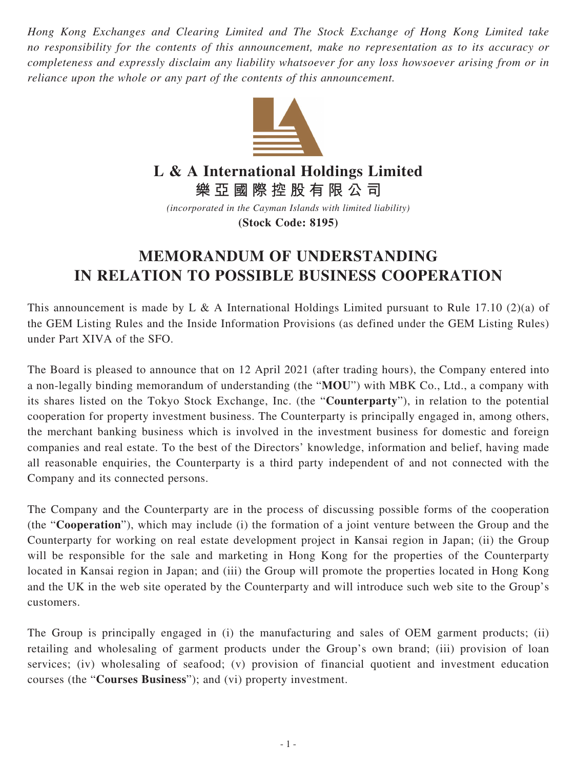*Hong Kong Exchanges and Clearing Limited and The Stock Exchange of Hong Kong Limited take no responsibility for the contents of this announcement, make no representation as to its accuracy or completeness and expressly disclaim any liability whatsoever for any loss howsoever arising from or in reliance upon the whole or any part of the contents of this announcement.*



## **L & A International Holdings Limited**

**樂亞國際控股有限公司**

*(incorporated in the Cayman Islands with limited liability)* **(Stock Code: 8195)**

## **MEMORANDUM OF UNDERSTANDING IN RELATION TO POSSIBLE BUSINESS COOPERATION**

This announcement is made by L & A International Holdings Limited pursuant to Rule 17.10 (2)(a) of the GEM Listing Rules and the Inside Information Provisions (as defined under the GEM Listing Rules) under Part XIVA of the SFO.

The Board is pleased to announce that on 12 April 2021 (after trading hours), the Company entered into a non-legally binding memorandum of understanding (the "**MOU**") with MBK Co., Ltd., a company with its shares listed on the Tokyo Stock Exchange, Inc. (the "**Counterparty**"), in relation to the potential cooperation for property investment business. The Counterparty is principally engaged in, among others, the merchant banking business which is involved in the investment business for domestic and foreign companies and real estate. To the best of the Directors' knowledge, information and belief, having made all reasonable enquiries, the Counterparty is a third party independent of and not connected with the Company and its connected persons.

The Company and the Counterparty are in the process of discussing possible forms of the cooperation (the "**Cooperation**"), which may include (i) the formation of a joint venture between the Group and the Counterparty for working on real estate development project in Kansai region in Japan; (ii) the Group will be responsible for the sale and marketing in Hong Kong for the properties of the Counterparty located in Kansai region in Japan; and (iii) the Group will promote the properties located in Hong Kong and the UK in the web site operated by the Counterparty and will introduce such web site to the Group's customers.

The Group is principally engaged in (i) the manufacturing and sales of OEM garment products; (ii) retailing and wholesaling of garment products under the Group's own brand; (iii) provision of loan services; (iv) wholesaling of seafood; (v) provision of financial quotient and investment education courses (the "**Courses Business**"); and (vi) property investment.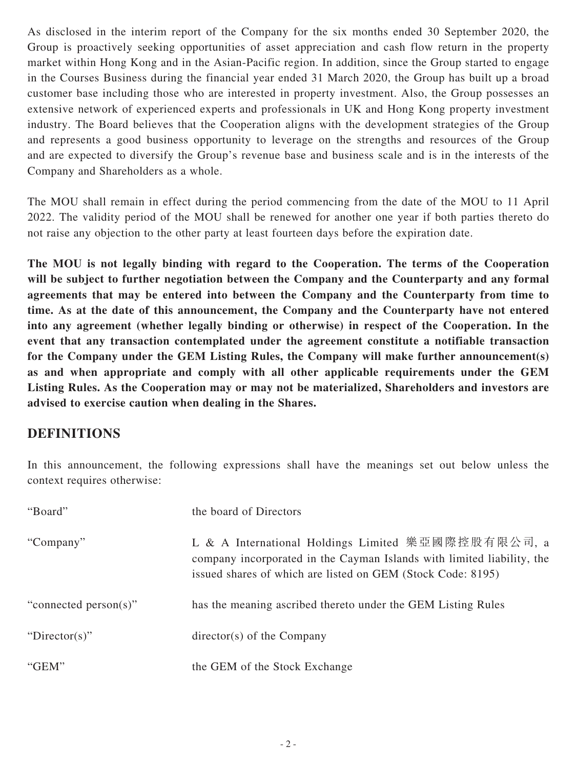As disclosed in the interim report of the Company for the six months ended 30 September 2020, the Group is proactively seeking opportunities of asset appreciation and cash flow return in the property market within Hong Kong and in the Asian-Pacific region. In addition, since the Group started to engage in the Courses Business during the financial year ended 31 March 2020, the Group has built up a broad customer base including those who are interested in property investment. Also, the Group possesses an extensive network of experienced experts and professionals in UK and Hong Kong property investment industry. The Board believes that the Cooperation aligns with the development strategies of the Group and represents a good business opportunity to leverage on the strengths and resources of the Group and are expected to diversify the Group's revenue base and business scale and is in the interests of the Company and Shareholders as a whole.

The MOU shall remain in effect during the period commencing from the date of the MOU to 11 April 2022. The validity period of the MOU shall be renewed for another one year if both parties thereto do not raise any objection to the other party at least fourteen days before the expiration date.

**The MOU is not legally binding with regard to the Cooperation. The terms of the Cooperation will be subject to further negotiation between the Company and the Counterparty and any formal agreements that may be entered into between the Company and the Counterparty from time to time. As at the date of this announcement, the Company and the Counterparty have not entered into any agreement (whether legally binding or otherwise) in respect of the Cooperation. In the event that any transaction contemplated under the agreement constitute a notifiable transaction for the Company under the GEM Listing Rules, the Company will make further announcement(s) as and when appropriate and comply with all other applicable requirements under the GEM Listing Rules. As the Cooperation may or may not be materialized, Shareholders and investors are advised to exercise caution when dealing in the Shares.**

## **DEFINITIONS**

In this announcement, the following expressions shall have the meanings set out below unless the context requires otherwise:

| "Board"               | the board of Directors                                                                                                                                                                      |
|-----------------------|---------------------------------------------------------------------------------------------------------------------------------------------------------------------------------------------|
| "Company"             | L & A International Holdings Limited 樂亞國際控股有限公司, a<br>company incorporated in the Cayman Islands with limited liability, the<br>issued shares of which are listed on GEM (Stock Code: 8195) |
| "connected person(s)" | has the meaning ascribed thereto under the GEM Listing Rules                                                                                                                                |
| "Director(s)"         | $directory(s)$ of the Company                                                                                                                                                               |
| "GEM"                 | the GEM of the Stock Exchange                                                                                                                                                               |